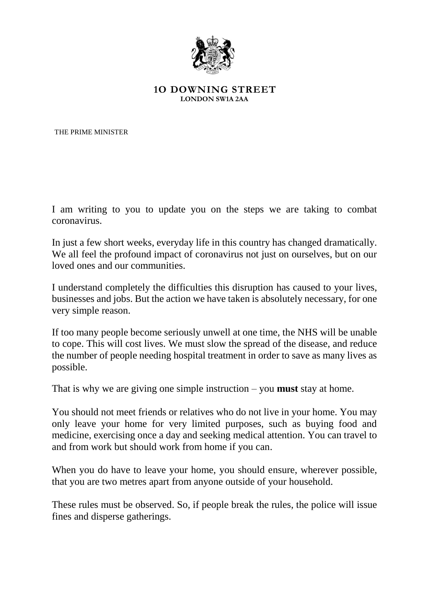

## **1O DOWNING STREET LONDON SW1A 2AA**

THE PRIME MINISTER

I am writing to you to update you on the steps we are taking to combat coronavirus.

In just a few short weeks, everyday life in this country has changed dramatically. We all feel the profound impact of coronavirus not just on ourselves, but on our loved ones and our communities.

I understand completely the difficulties this disruption has caused to your lives, businesses and jobs. But the action we have taken is absolutely necessary, for one very simple reason.

If too many people become seriously unwell at one time, the NHS will be unable to cope. This will cost lives. We must slow the spread of the disease, and reduce the number of people needing hospital treatment in order to save as many lives as possible.

That is why we are giving one simple instruction – you **must** stay at home.

You should not meet friends or relatives who do not live in your home. You may only leave your home for very limited purposes, such as buying food and medicine, exercising once a day and seeking medical attention. You can travel to and from work but should work from home if you can.

When you do have to leave your home, you should ensure, wherever possible, that you are two metres apart from anyone outside of your household.

These rules must be observed. So, if people break the rules, the police will issue fines and disperse gatherings.